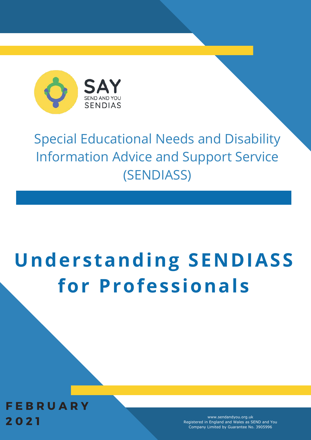

# Special Educational Needs and Disability Information Advice and Support Service (SENDIASS)

# **Understanding SENDIASS for Professionals**

**FEBRUARY** 2 0 2 1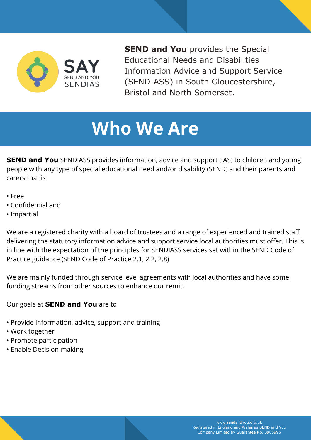

**SEND and You** provides the Special Educational Needs and Disabilities Information Advice and Support Service (SENDIASS) in South Gloucestershire, Bristol and North Somerset.

# **Who We Are**

**SEND and You** SENDIASS provides information, advice and support (IAS) to children and young people with any type of special educational need and/or disability (SEND) and their parents and carers that is

- Free
- Confidential and
- Impartial

We are a registered charity with a board of trustees and a range of experienced and trained staff delivering the statutory information advice and support service local authorities must offer. This is in line with the expectation of the principles for SENDIASS services set within the SEND Code of Practice guidance ([SEND Code of Practice](https://www.gov.uk/government/publications/send-code-of-practice-0-to-25) 2.1, 2.2, 2.8).

We are mainly funded through service level agreements with local authorities and have some funding streams from other sources to enhance our remit.

Our goals at **SEND and You** are to

- Provide information, advice, support and training
- Work together
- Promote participation
- Enable Decision-making.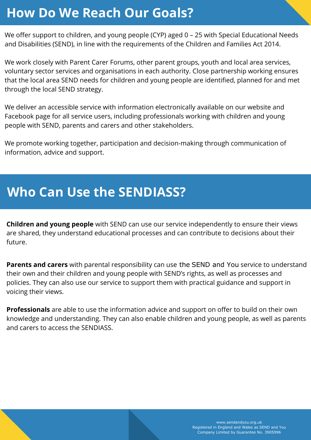#### **How Do We Reach Our Goals?**

We offer support to children, and young people (CYP) aged 0 – 25 with Special Educational Needs and Disabilities (SEND), in line with the requirements of the Children and Families Act 2014.

We work closely with Parent Carer Forums, other parent groups, youth and local area services, voluntary sector services and organisations in each authority. Close partnership working ensures that the local area SEND needs for children and young people are identified, planned for and met through the local SEND strategy.

We deliver an accessible service with information electronically available on our website and Facebook page for all service users, including professionals working with children and young people with SEND, parents and carers and other stakeholders.

We promote working together, participation and decision-making through communication of information, advice and support.

#### **Who Can Use the SENDIASS?**

**Children and young people** with SEND can use our service independently to ensure their views are shared, they understand educational processes and can contribute to decisions about their future.

**Parents and carers** with parental responsibility can use the SEND and You service to understand their own and their children and young people with SEND's rights, as well as processes and policies. They can also use our service to support them with practical guidance and support in voicing their views.

**Professionals** are able to use the information advice and support on offer to build on their own knowledge and understanding. They can also enable children and young people, as well as parents and carers to access the SENDIASS.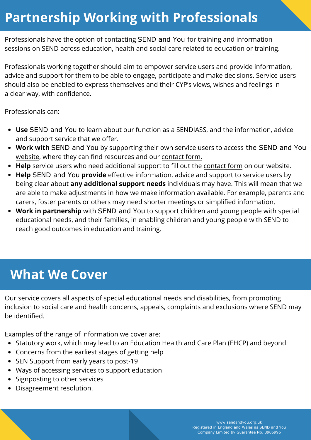#### **Partnership Working with Professionals**

Professionals have the option of contacting SEND and You for training and information sessions on SEND across education, health and social care related to education or training.

Professionals working together should aim to empower service users and provide information, advice and support for them to be able to engage, participate and make decisions. Service users should also be enabled to express themselves and their CYP's views, wishes and feelings in a clear way, with confidence.

Professionals can:

- **Use** SEND and You to learn about our function as a SENDIASS, and the information, advice and support service that we offer.
- **Work with** SEND and You by supporting their own service users to access the SEND and You [website](https://www.sendandyou.org.uk/), where they can find resources and our [contact form.](https://www.sendandyou.org.uk/contact-us/)
- **Help** service users who need additional support to fill out the [contact form](https://www.sendandyou.org.uk/contact-us/) on our website.
- **Help** SEND and You **provide** effective information, advice and support to service users by being clear about **any additional support needs** individuals may have. This will mean that we are able to make adjustments in how we make information available. For example, parents and carers, foster parents or others may need shorter meetings or simplified information.
- **Work in partnership** with SEND and You to support children and young people with special educational needs, and their families, in enabling children and young people with SEND to reach good outcomes in education and training.

#### **What We Cover**

Our service covers all aspects of special educational needs and disabilities, from promoting inclusion to social care and health concerns, appeals, complaints and exclusions where SEND may be identified.

Examples of the range of information we cover are:

- Statutory work, which may lead to an Education Health and Care Plan (EHCP) and beyond
- Concerns from the earliest stages of getting help
- SEN Support from early years to post-19
- Ways of accessing services to support education
- Signposting to other services
- Disagreement resolution.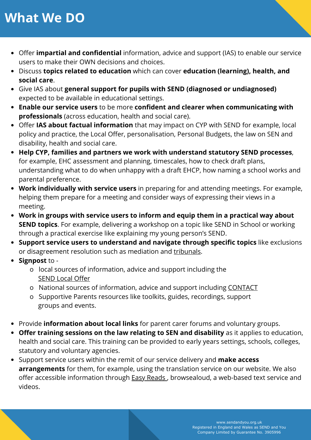#### **What We DO**

- Offer **impartial and confidential** information, advice and support (IAS) to enable our service users to make their OWN decisions and choices.
- Discuss **topics related to education** which can cover **education (learning), health, and social care**.
- Give IAS about **general support for pupils with SEND (diagnosed or undiagnosed)** expected to be available in educational settings.
- **Enable our service users** to be more **confident and clearer when communicating with professionals** (across education, health and social care).
- Offer **IAS about factual information** that may impact on CYP with SEND for example, local policy and practice, the Local Offer, personalisation, Personal Budgets, the law on SEN and disability, health and social care.
- **Help CYP, families and partners we work with understand statutory SEND processes**, for example, EHC assessment and planning, timescales, how to check draft plans, understanding what to do when unhappy with a draft EHCP, how naming a school works and parental preference.
- **Work individually with service users** in preparing for and attending meetings. For example, helping them prepare for a meeting and consider ways of expressing their views in a meeting.
- **Work in groups with service users to inform and equip them in a practical way about SEND topics**. For example, delivering a workshop on a topic like SEND in School or working through a practical exercise like explaining my young person's SEND.
- **Support service users to understand and navigate through specific topics** like exclusions or disagreement resolution such as mediation and [tribunals.](https://www.supportiveparents.org.uk/wp-content/uploads/2020/10/tribunals-content-and-placement-appeal.pdf)
- **Signpost** to
	- o local sources of information, advice and support including the [SEND Local Offer](https://www.supportiveparents.org.uk/resources/national-and-regional-services/)
	- o National sources of information, advice and support including [CONTACT](https://contact.org.uk/)
	- o Supportive Parents resources like toolkits, guides, recordings, support groups and events.
- Provide **information about local links** for parent carer forums and voluntary groups.
- **Offer training sessions on the law relating to SEN and disability** as it applies to education, health and social care. This training can be provided to early years settings, schools, colleges, statutory and voluntary agencies.
- Support service users within the remit of our service delivery and **make access arrangements** for them, for example, using the translation service on our website. We also offer accessible information through **Easy Reads**, browsealoud, a web-based text service and videos.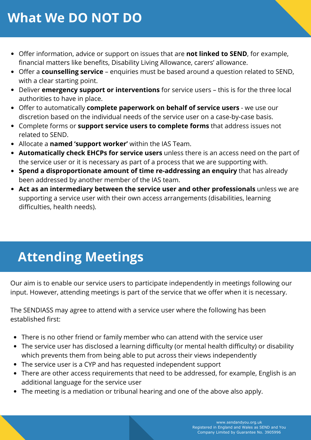#### **What We DO NOT DO**

- Offer information, advice or support on issues that are **not linked to SEND**, for example, financial matters like benefits, Disability Living Allowance, carers' allowance.
- Offer a **counselling service** enquiries must be based around a question related to SEND, with a clear starting point.
- Deliver **emergency support or interventions** for service users this is for the three local authorities to have in place.
- Offer to automatically **complete paperwork on behalf of service users** we use our discretion based on the individual needs of the service user on a case-by-case basis.
- Complete forms or **support service users to complete forms** that address issues not related to SEND.
- Allocate a **named 'support worker'** within the IAS Team.
- **Automatically check EHCPs for service users** unless there is an access need on the part of the service user or it is necessary as part of a process that we are supporting with.
- **Spend a disproportionate amount of time re-addressing an enquiry** that has already been addressed by another member of the IAS team.
- **Act as an intermediary between the service user and other professionals** unless we are supporting a service user with their own access arrangements (disabilities, learning difficulties, health needs).

# **Attending Meetings**

Our aim is to enable our service users to participate independently in meetings following our input. However, attending meetings is part of the service that we offer when it is necessary.

The SENDIASS may agree to attend with a service user where the following has been established first:

- There is no other friend or family member who can attend with the service user
- The service user has disclosed a learning difficulty (or mental health difficulty) or disability which prevents them from being able to put across their views independently
- The service user is a CYP and has requested independent support
- There are other access requirements that need to be addressed, for example, English is an additional language for the service user
- The meeting is a mediation or tribunal hearing and one of the above also apply.